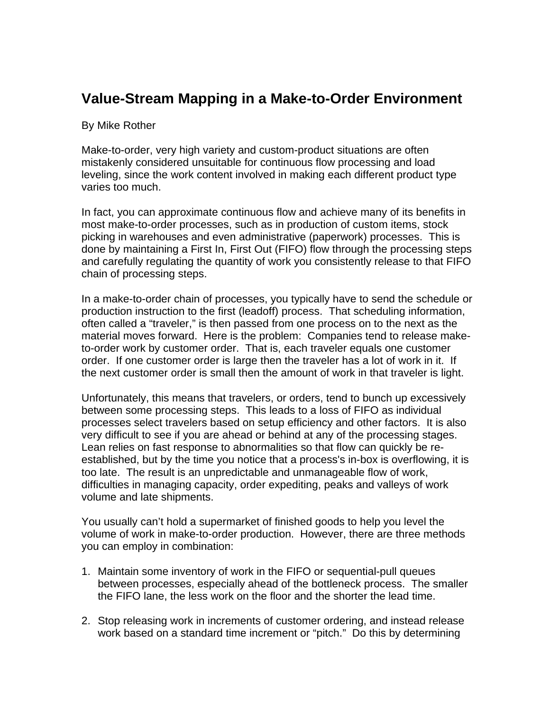## **Value-Stream Mapping in a Make-to-Order Environment**

## By Mike Rother

Make-to-order, very high variety and custom-product situations are often mistakenly considered unsuitable for continuous flow processing and load leveling, since the work content involved in making each different product type varies too much.

In fact, you can approximate continuous flow and achieve many of its benefits in most make-to-order processes, such as in production of custom items, stock picking in warehouses and even administrative (paperwork) processes. This is done by maintaining a First In, First Out (FIFO) flow through the processing steps and carefully regulating the quantity of work you consistently release to that FIFO chain of processing steps.

In a make-to-order chain of processes, you typically have to send the schedule or production instruction to the first (leadoff) process. That scheduling information, often called a "traveler," is then passed from one process on to the next as the material moves forward. Here is the problem: Companies tend to release maketo-order work by customer order. That is, each traveler equals one customer order. If one customer order is large then the traveler has a lot of work in it. If the next customer order is small then the amount of work in that traveler is light.

Unfortunately, this means that travelers, or orders, tend to bunch up excessively between some processing steps. This leads to a loss of FIFO as individual processes select travelers based on setup efficiency and other factors. It is also very difficult to see if you are ahead or behind at any of the processing stages. Lean relies on fast response to abnormalities so that flow can quickly be reestablished, but by the time you notice that a process's in-box is overflowing, it is too late. The result is an unpredictable and unmanageable flow of work, difficulties in managing capacity, order expediting, peaks and valleys of work volume and late shipments.

You usually can't hold a supermarket of finished goods to help you level the volume of work in make-to-order production. However, there are three methods you can employ in combination:

- 1. Maintain some inventory of work in the FIFO or sequential-pull queues between processes, especially ahead of the bottleneck process. The smaller the FIFO lane, the less work on the floor and the shorter the lead time.
- 2. Stop releasing work in increments of customer ordering, and instead release work based on a standard time increment or "pitch." Do this by determining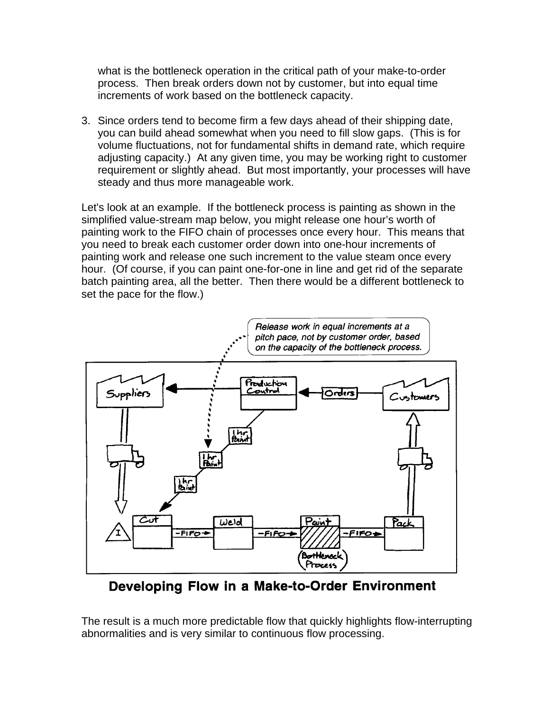what is the bottleneck operation in the critical path of your make-to-order process. Then break orders down not by customer, but into equal time increments of work based on the bottleneck capacity.

3. Since orders tend to become firm a few days ahead of their shipping date, you can build ahead somewhat when you need to fill slow gaps. (This is for volume fluctuations, not for fundamental shifts in demand rate, which require adjusting capacity.) At any given time, you may be working right to customer requirement or slightly ahead. But most importantly, your processes will have steady and thus more manageable work.

Let's look at an example. If the bottleneck process is painting as shown in the simplified value-stream map below, you might release one hour's worth of painting work to the FIFO chain of processes once every hour. This means that you need to break each customer order down into one-hour increments of painting work and release one such increment to the value steam once every hour. (Of course, if you can paint one-for-one in line and get rid of the separate batch painting area, all the better. Then there would be a different bottleneck to set the pace for the flow.)



Developing Flow in a Make-to-Order Environment

The result is a much more predictable flow that quickly highlights flow-interrupting abnormalities and is very similar to continuous flow processing.